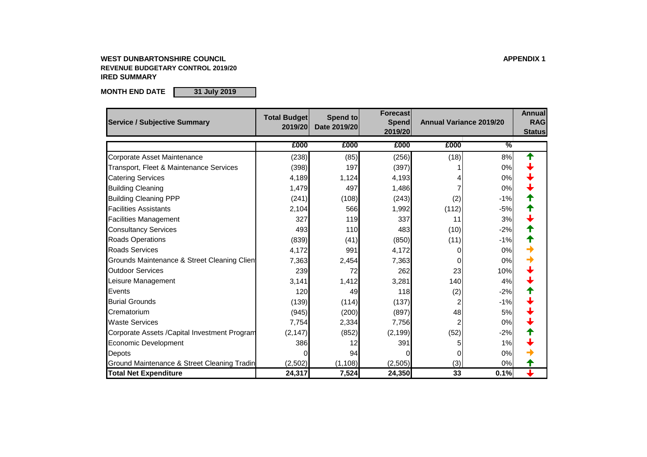### **WEST DUNBARTONSHIRE COUNCIL APPENDIX 1 REVENUE BUDGETARY CONTROL 2019/20 IRED SUMMARY**

**MONTH END DATE 31 July 2019**

| <b>Service / Subjective Summary</b>                    | <b>Total Budget</b><br>2019/20 | Spend to<br>Date 2019/20 | Forecast<br>Spend<br>2019/20 | <b>Annual Variance 2019/20</b> |               | <b>Annual</b><br><b>RAG</b><br><b>Status</b> |
|--------------------------------------------------------|--------------------------------|--------------------------|------------------------------|--------------------------------|---------------|----------------------------------------------|
|                                                        | £000                           | £000                     | £000                         | £000                           | $\frac{9}{6}$ |                                              |
| Corporate Asset Maintenance                            | (238)                          | (85)                     | (256)                        | (18)                           | 8%            | ↑                                            |
| Transport, Fleet & Maintenance Services                | (398)                          | 197                      | (397)                        |                                | 0%            |                                              |
| <b>Catering Services</b>                               | 4,189                          | 1,124                    | 4,193                        |                                | 0%            |                                              |
| <b>Building Cleaning</b>                               | 1,479                          | 497                      | 1,486                        |                                | 0%            |                                              |
| <b>Building Cleaning PPP</b>                           | (241)                          | (108)                    | (243)                        | (2)                            | $-1%$         |                                              |
| <b>Facilities Assistants</b>                           | 2,104                          | 566                      | 1,992                        | (112)                          | $-5%$         |                                              |
| <b>Facilities Management</b>                           | 327                            | 119                      | 337                          | 11                             | 3%            |                                              |
| <b>Consultancy Services</b>                            | 493                            | 110                      | 483                          | (10)                           | $-2%$         |                                              |
| <b>Roads Operations</b>                                | (839)                          | (41)                     | (850)                        | (11)                           | $-1%$         |                                              |
| <b>Roads Services</b>                                  | 4,172                          | 991                      | 4,172                        |                                | 0%            |                                              |
| Grounds Maintenance & Street Cleaning Clien            | 7,363                          | 2,454                    | 7,363                        |                                | 0%            |                                              |
| <b>Outdoor Services</b>                                | 239                            | 72                       | 262                          | 23                             | 10%           |                                              |
| Leisure Management                                     | 3,141                          | 1,412                    | 3,281                        | 140                            | 4%            |                                              |
| Events                                                 | 120                            | 49                       | 118                          | (2)                            | $-2%$         |                                              |
| <b>Burial Grounds</b>                                  | (139)                          | (114)                    | (137)                        |                                | $-1%$         |                                              |
| Crematorium                                            | (945)                          | (200)                    | (897)                        | 48                             | 5%            |                                              |
| <b>Waste Services</b>                                  | 7,754                          | 2,334                    | 7,756                        |                                | 0%            |                                              |
| Corporate Assets / Capital Investment Program          | (2, 147)                       | (852)                    | (2, 199)                     | (52)                           | $-2%$         |                                              |
| <b>Economic Development</b>                            | 386                            | 12                       | 391                          |                                | 1%            |                                              |
| Depots                                                 |                                | 94                       |                              |                                | 0%            |                                              |
| <b>Ground Maintenance &amp; Street Cleaning Tradin</b> | (2,502)                        | (1, 108)                 | (2,505)                      | (3)                            | 0%            |                                              |
| <b>Total Net Expenditure</b>                           | 24,317                         | 7,524                    | 24,350                       | 33                             | 0.1%          |                                              |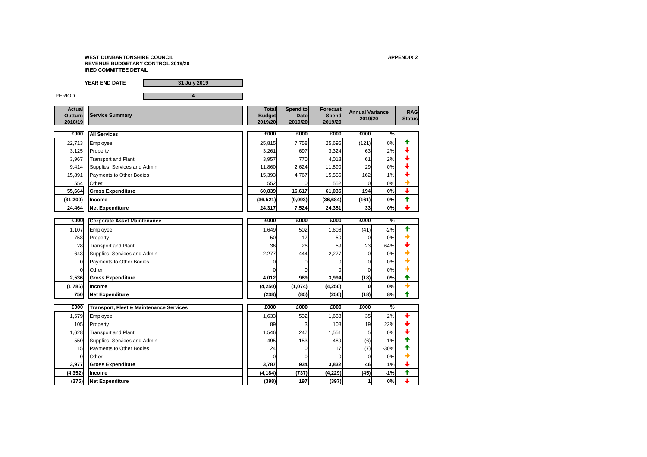**YEAR END DATE 31 July 2019**

PERIOD **4** 



| <b>Actual</b><br><b>Outturn</b><br>2018/19 | <b>Service Summary</b>                             | <b>Total</b><br><b>Budget</b><br>2019/20 | <b>Spend to</b><br>2019/20 | <b>Date</b>    | <b>Forecast</b><br><b>Spend</b><br>2019/20 | <b>Annual Variance</b><br>2019/20 |               | <b>RAG</b><br><b>Status</b> |
|--------------------------------------------|----------------------------------------------------|------------------------------------------|----------------------------|----------------|--------------------------------------------|-----------------------------------|---------------|-----------------------------|
| £000                                       | <b>All Services</b>                                | £000                                     |                            | £000           | £000                                       | £000                              | $\frac{9}{6}$ |                             |
| 22,713                                     | Employee                                           | 25,815                                   |                            | 7,758          | 25,696                                     | (121)                             | 0%            |                             |
| 3,125                                      | Property                                           | 3,261                                    |                            | 697            | 3,324                                      | 63                                | 2%            |                             |
| 3,967                                      | <b>Transport and Plant</b>                         | 3,957                                    |                            | 770            | 4,018                                      | 61                                | 2%            |                             |
| 9,414                                      | Supplies, Services and Admin                       | 11,860                                   |                            | 2,624          | 11,890                                     | 29                                | 0%            |                             |
| 15,891                                     | Payments to Other Bodies                           | 15,393                                   |                            | 4,767          | 15,555                                     | 162                               | 1%            |                             |
| 554                                        | Other                                              |                                          | 552                        |                | 552                                        | $\Omega$                          | 0%            | ◆                           |
| 55,664                                     | <b>Gross Expenditure</b>                           | 60,839                                   | 16,617                     |                | 61,035                                     | 194                               | 0%            | $\ddag$                     |
| (31, 200)                                  | <b>Income</b>                                      | (36, 521)                                | (9,093)                    |                | (36, 684)                                  | (161)                             | 0%            | ✦                           |
| 24,464                                     | <b>Net Expenditure</b>                             | 24,317                                   |                            | 7,524          | 24,351                                     | 33                                | 0%            | $\downarrow$                |
|                                            |                                                    |                                          |                            |                |                                            |                                   |               |                             |
| £000                                       | <b>Corporate Asset Maintenance</b>                 | £000                                     |                            | £000           | £000                                       | £000                              | $\frac{9}{6}$ |                             |
| 1,107                                      | Employee                                           | 1,649                                    |                            | 502            | 1,608                                      | (41)                              | $-2%$         | ✦                           |
| 758                                        | Property                                           |                                          | 50                         | 17             | 50                                         | $\Omega$                          | 0%            |                             |
| 28                                         | Transport and Plant                                |                                          | 36                         | 26             | 59                                         | 23                                | 64%           |                             |
| 643                                        | Supplies, Services and Admin                       | 2,277                                    |                            | 444            | 2,277                                      | 0                                 | 0%            |                             |
| $\overline{0}$                             | Payments to Other Bodies                           |                                          |                            |                |                                            | 0                                 | 0%            |                             |
| 0l                                         | Other                                              |                                          |                            | 01             |                                            | $\overline{0}$                    | 0%            | $\rightarrow$               |
| 2,536                                      | <b>Gross Expenditure</b>                           | 4,012                                    |                            | 989            | 3,994                                      | (18)                              | 0%            | ✦                           |
| (1,786)                                    | <b>Income</b>                                      | (4, 250)                                 | (1,074)                    |                | (4, 250)                                   | 0                                 | 0%            | $\rightarrow$               |
| 750                                        | Net Expenditure                                    | (238)                                    |                            | (85)           | (256)                                      | (18)                              | 8%            | ₳                           |
| £000                                       | <b>Transport, Fleet &amp; Maintenance Services</b> | £000                                     |                            | £000           | £000                                       | £000                              | $\frac{9}{6}$ |                             |
| 1,679                                      | Employee                                           | 1,633                                    |                            | 532            | 1,668                                      | 35                                | 2%            |                             |
| 105                                        | Property                                           |                                          | 89                         |                | 108                                        | 19                                | 22%           |                             |
| 1,628                                      | <b>Transport and Plant</b>                         | 1,546                                    |                            | 247            | 1,551                                      | 5                                 | 0%            |                             |
| 550                                        | Supplies, Services and Admin                       |                                          | 495                        | 153            | 489                                        | (6)                               | $-1%$         |                             |
| 15                                         | Payments to Other Bodies                           |                                          | 24                         |                | 17                                         | (7)                               | $-30%$        |                             |
| $\overline{0}$                             | Other                                              |                                          | $\overline{0}$             | $\overline{0}$ |                                            | $\overline{0}$                    | 0%            | →                           |
| 3,977                                      | <b>Gross Expenditure</b>                           | 3,787                                    |                            | 934            | 3,832                                      | 46                                | 1%            | $\downarrow$                |
| (4, 352)                                   | <b>Income</b>                                      | (4, 184)                                 |                            | (737)          | (4, 229)                                   | (45)                              | $-1%$         | 个                           |
| (375)                                      | <b>Net Expenditure</b>                             | (398)                                    |                            | 197            | (397)                                      |                                   | 0%            | $\ddag$                     |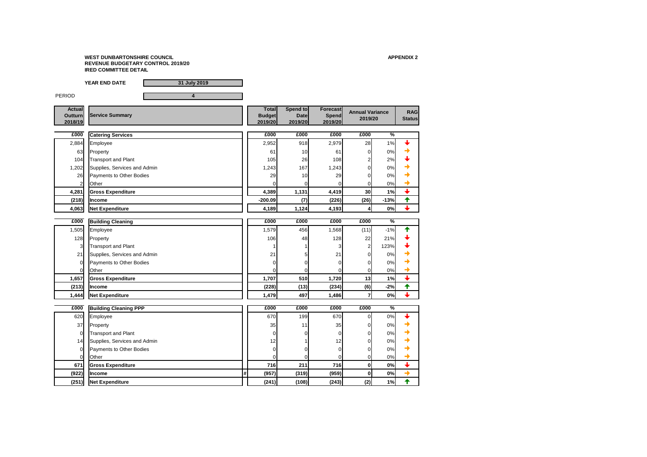

|                                            | <b>YEAR END DATE</b><br>31 July 2019     |   |                                          |                                    |                                            |                                   |               |                             |
|--------------------------------------------|------------------------------------------|---|------------------------------------------|------------------------------------|--------------------------------------------|-----------------------------------|---------------|-----------------------------|
| <b>PERIOD</b>                              | 4                                        |   |                                          |                                    |                                            |                                   |               |                             |
| <b>Actual</b><br><b>Outturn</b><br>2018/19 | <b>Service Summary</b>                   |   | <b>Total</b><br><b>Budget</b><br>2019/20 | Spend to<br><b>Date</b><br>2019/20 | <b>Forecast</b><br><b>Spend</b><br>2019/20 | <b>Annual Variance</b><br>2019/20 |               | <b>RAG</b><br><b>Status</b> |
| £000                                       | <b>Catering Services</b>                 |   | £000                                     | £000                               | £000                                       | £000                              | $\frac{0}{6}$ |                             |
| 2,884                                      | Employee                                 |   | 2,952                                    | 918                                | 2,979                                      | 28                                | 1%            |                             |
| 63                                         | Property                                 |   | 6 <sup>′</sup>                           | 10                                 | 61                                         | $\overline{0}$                    | 0%            |                             |
| 104                                        | Transport and Plant                      |   | 105                                      | 26                                 | 108                                        |                                   | 2%            |                             |
| 1,202                                      | Supplies, Services and Admin             |   | 1,243                                    | 167                                | 1,243                                      | 0                                 | 0%            |                             |
| 26                                         | Payments to Other Bodies                 |   | 29                                       | 10                                 | 29                                         | 0                                 | 0%            |                             |
|                                            | Other                                    |   |                                          |                                    | 01                                         | 0                                 | 0%            |                             |
| 4,281                                      | <b>Gross Expenditure</b>                 |   | 4,389                                    | 1,131                              | 4,419                                      | 30                                | 1%            | $\overline{\mathbf{t}}$     |
| (218)                                      | Income                                   |   | $-200.09$                                | (7)                                | (226)                                      | (26)                              | $-13%$        | ✦                           |
| 4,063                                      | <b>Net Expenditure</b>                   |   | 4,189                                    | 1,124                              | 4,193                                      | 4                                 | 0%            | $\overline{\phantom{a}}$    |
|                                            |                                          |   |                                          |                                    |                                            |                                   |               |                             |
| £000                                       | <b>Building Cleaning</b>                 |   | £000                                     | £000                               | £000                                       | £000                              | $\frac{0}{6}$ |                             |
| 1,505                                      | Employee                                 |   | 1,579                                    | 456                                | 1,568                                      | (11)                              | $-1%$         |                             |
| 128                                        | Property                                 |   | 106                                      | 48                                 | 128                                        | 22                                | 21%           |                             |
| 3                                          | <b>Transport and Plant</b>               |   |                                          |                                    |                                            | 2                                 | 123%          |                             |
| 21                                         | Supplies, Services and Admin             |   | 21                                       |                                    | 21                                         | 0                                 | 0%            |                             |
| $\Omega$                                   | Payments to Other Bodies                 |   |                                          |                                    | $\Omega$                                   | 0                                 | 0%            |                             |
| $\overline{0}$<br>1,657                    | <b>Other</b><br><b>Gross Expenditure</b> |   | $\overline{0}$<br>1,707                  | 01<br>510                          | $\overline{0}$<br>1,720                    | 01<br>13                          | $0\%$<br>1%   | $\color{red} \downarrow$    |
| (213)                                      | <b>Income</b>                            |   | (228)                                    | (13)                               | (234)                                      | (6)                               | $-2%$         | ✦                           |
| 1,444                                      | <b>Net Expenditure</b>                   |   | 1,479                                    | 497                                | 1,486                                      | $\overline{7}$                    | 0%            | $\ddag$                     |
|                                            |                                          |   |                                          |                                    |                                            |                                   |               |                             |
| E000                                       | <b>Building Cleaning PPP</b>             |   | £000                                     | £000                               | £000                                       | £000                              | $\frac{9}{6}$ |                             |
| 620                                        | Employee                                 |   | 670                                      | 199                                | 670                                        | $\overline{0}$                    | 0%            |                             |
| 37                                         | Property                                 |   | 35                                       | 11                                 | 35                                         | 01                                | 0%            |                             |
| $\overline{0}$                             | <b>Transport and Plant</b>               |   |                                          |                                    |                                            | 0                                 | 0%            |                             |
| 14                                         | Supplies, Services and Admin             |   | 12                                       |                                    | 12                                         | 0                                 | 0%            |                             |
| $\overline{0}$                             | <b>Payments to Other Bodies</b>          |   | 0                                        |                                    | 0                                          | 01                                | 0%            |                             |
| $\overline{0}$                             | Other                                    |   |                                          |                                    | 0                                          | 0                                 | 0%            |                             |
| 671                                        | <b>Gross Expenditure</b>                 |   | 716                                      | 211                                | 716                                        | $\boldsymbol{0}$                  | 0%            | $\downarrow$                |
| (922)                                      | <b>Income</b>                            | # | (957)                                    | (319)                              | (959)                                      | 0                                 | 0%            | $\rightarrow$               |
| (251)                                      | <b>Net Expenditure</b>                   |   | (241)                                    | (108)                              | (243)                                      | (2)                               | 1%            | $\blacklozenge$             |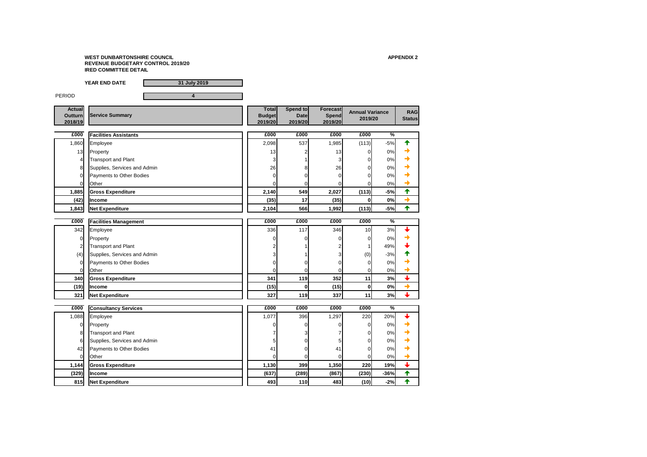

|                                            | <b>YEAR END DATE</b><br>31 July 2019 |                                          |                                    |                                            |                                   |               |                             |
|--------------------------------------------|--------------------------------------|------------------------------------------|------------------------------------|--------------------------------------------|-----------------------------------|---------------|-----------------------------|
| <b>PERIOD</b>                              | 4                                    |                                          |                                    |                                            |                                   |               |                             |
| <b>Actual</b><br><b>Outturn</b><br>2018/19 | <b>Service Summary</b>               | <b>Total</b><br><b>Budget</b><br>2019/20 | Spend to<br><b>Date</b><br>2019/20 | <b>Forecast</b><br><b>Spend</b><br>2019/20 | <b>Annual Variance</b><br>2019/20 |               | <b>RAG</b><br><b>Status</b> |
| £000                                       | <b>Facilities Assistants</b>         | £000                                     | £000                               | £000                                       | £000                              | $\frac{0}{6}$ |                             |
| 1,860                                      | Employee                             | 2,098                                    | 537                                | 1,985                                      | (113)                             | $-5%$         |                             |
| 13                                         | Property                             | 13                                       |                                    | 13                                         | 0                                 | 0%            |                             |
| 4                                          | <b>Transport and Plant</b>           | 3                                        |                                    |                                            | 0                                 | 0%            |                             |
|                                            | Supplies, Services and Admin         | 26                                       |                                    | 26                                         | 0                                 | 0%            |                             |
| $\Omega$                                   | Payments to Other Bodies             | $\Omega$                                 |                                    |                                            | 0                                 | 0%            |                             |
|                                            | <b>Other</b>                         | ΩI                                       |                                    |                                            | 0                                 | 0%            |                             |
| 1,885                                      | <b>Gross Expenditure</b>             | 2,140                                    | 549                                | 2,027                                      | (113)                             | $-5%$         | ✦                           |
| (42)                                       | Income                               | (35)                                     | 17                                 | (35)                                       | 0                                 | 0%            | →                           |
| 1,843                                      | <b>Net Expenditure</b>               | 2,104                                    | 566                                | 1,992                                      | (113)                             | $-5%$         | $\biguparrow$               |
|                                            |                                      |                                          |                                    |                                            |                                   |               |                             |
| £000                                       | <b>Facilities Management</b>         | £000                                     | £000                               | £000                                       | £000                              | $\frac{9}{6}$ |                             |
| 342                                        | Employee                             | 336                                      | 117                                | 346                                        | 10 <sup>1</sup>                   | 3%            |                             |
| $\overline{0}$                             | Property                             | $\Omega$                                 |                                    |                                            | 0                                 | 0%            |                             |
|                                            | <b>Transport and Plant</b>           |                                          |                                    |                                            |                                   | 49%           |                             |
| (4)                                        | Supplies, Services and Admin         |                                          |                                    |                                            | (0)                               | $-3%$         |                             |
|                                            | Payments to Other Bodies             | 0                                        |                                    |                                            | $\Omega$                          | 0%            |                             |
| $\overline{0}$                             | Other                                | 0                                        | 0                                  | $\overline{0}$                             | 0                                 | $0\%$         | $\overline{\mathbf{t}}$     |
| 340                                        | <b>Gross Expenditure</b>             | 341                                      | 119                                | 352                                        | 11                                | 3%            | $\rightarrow$               |
| (19)                                       | Income                               | (15)                                     | 0                                  | (15)                                       | $\bf{0}$                          | 0%            | $\ddag$                     |
| 321                                        | <b>Net Expenditure</b>               | 327                                      | 119                                | 337                                        | 11                                | 3%            |                             |
| £000                                       | <b>Consultancy Services</b>          | £000                                     | £000                               | £000                                       | £000                              | $\frac{9}{6}$ |                             |
| 1,088                                      | Employee                             | 1,077                                    | 396                                | 1,297                                      | 220                               | 20%           |                             |
| $\overline{0}$                             | Property                             | $\Omega$                                 |                                    |                                            | $\Omega$                          | 0%            |                             |
| 8                                          | <b>Transport and Plant</b>           |                                          |                                    |                                            | 0                                 | 0%            |                             |
| 6                                          | Supplies, Services and Admin         |                                          |                                    |                                            | 0                                 | 0%            |                             |
| 42                                         | Payments to Other Bodies             | 41                                       |                                    | 41                                         | 0                                 | 0%            |                             |
| $\Omega$                                   | <b>Other</b>                         | $\overline{0}$                           |                                    | 0                                          | 0                                 | 0%            | →                           |
| 1,144                                      | <b>Gross Expenditure</b>             | 1,130                                    | 399                                | 1,350                                      | 220                               | 19%           | $\ddag$                     |
| (329)                                      | <b>Income</b>                        | (637)                                    | (289)                              | (867)                                      | (230)                             | $-36%$        | 个                           |
| 815                                        | <b>Net Expenditure</b>               | 493                                      | 110                                | 483                                        | (10)                              | $-2%$         | 个                           |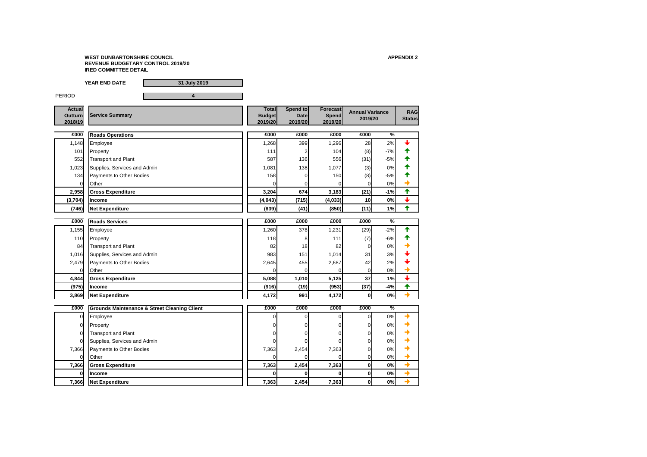

|                                            | <b>YEAR END DATE</b><br>31 July 2019                    |                                          |                                    |                                            |                                   |               |                             |
|--------------------------------------------|---------------------------------------------------------|------------------------------------------|------------------------------------|--------------------------------------------|-----------------------------------|---------------|-----------------------------|
| <b>PERIOD</b>                              | 4                                                       |                                          |                                    |                                            |                                   |               |                             |
| <b>Actual</b><br><b>Outturn</b><br>2018/19 | <b>Service Summary</b>                                  | <b>Total</b><br><b>Budget</b><br>2019/20 | Spend to<br><b>Date</b><br>2019/20 | <b>Forecast</b><br><b>Spend</b><br>2019/20 | <b>Annual Variance</b><br>2019/20 |               | <b>RAG</b><br><b>Status</b> |
| £000                                       | <b>Roads Operations</b>                                 | £000                                     | £000                               | £000                                       | £000                              | $\frac{0}{6}$ |                             |
| 1,148                                      | Employee                                                | 1,268                                    | 399                                | 1,296                                      | 28                                | 2%            |                             |
| 101                                        | Property                                                | 111                                      |                                    | 104                                        | (8)                               | $-7%$         |                             |
| 552                                        | <b>Transport and Plant</b>                              | 587                                      | 136                                | 556                                        | (31)                              | $-5%$         |                             |
| 1,023                                      | Supplies, Services and Admin                            | 1,081                                    | 138                                | 1,077                                      | (3)                               | 0%            |                             |
| 134                                        | Payments to Other Bodies                                | 158                                      |                                    | 150                                        | (8)                               | $-5%$         |                             |
| $\Omega$                                   | <b>Other</b>                                            |                                          |                                    | 0                                          | 0                                 | 0%            |                             |
| 2,958                                      | <b>Gross Expenditure</b>                                | 3,204                                    | 674                                | 3,183                                      | (21)                              | $-1%$         | 个                           |
| (3,704)                                    | Income                                                  | (4,043)                                  | (715)                              | (4,033)                                    | 10                                | 0%            | $\overline{\mathbf{t}}$     |
| (746)                                      | <b>Net Expenditure</b>                                  | (839)                                    | (41)                               | (850)                                      | (11)                              | 1%            | 个                           |
|                                            |                                                         |                                          |                                    |                                            |                                   |               |                             |
| £000                                       | <b>Roads Services</b>                                   | £000                                     | £000                               | £000                                       | £000                              | $\frac{0}{6}$ |                             |
| 1,155                                      | Employee                                                | 1,260                                    | 378                                | 1,231                                      | (29)                              | $-2%$         |                             |
| 110                                        | Property                                                | 118                                      |                                    | 111                                        | (7)                               | $-6%$         |                             |
| 84                                         | <b>Transport and Plant</b>                              | 82                                       | 18                                 | 82                                         | $\overline{0}$                    | 0%            |                             |
| 1,016                                      | Supplies, Services and Admin                            | 983                                      | 151                                | 1,014                                      | 31                                | 3%            |                             |
| 2,479                                      | <b>Payments to Other Bodies</b>                         | 2,645                                    | 455                                | 2,687                                      | 42                                | 2%            |                             |
| 0I                                         | <b>Other</b>                                            | $\overline{0}$                           | $\mathbf{0}$                       | $\mathbf{0}$                               | 01                                | $0\%$         |                             |
| 4,844                                      | <b>Gross Expenditure</b>                                | 5,088                                    | 1,010                              | 5,125                                      | 37                                | 1%            | $\color{red} \downarrow$    |
| (975)                                      | <b>Income</b>                                           | (916)                                    | (19)                               | (953)                                      | (37)                              | $-4%$         | ✦                           |
| 3,869                                      | <b>Net Expenditure</b>                                  | 4,172                                    | 991                                | 4,172                                      | 0                                 | 0%            | $\rightarrow$               |
| £000                                       | <b>Grounds Maintenance &amp; Street Cleaning Client</b> | £000                                     | £000                               | £000                                       | £000                              | $\frac{9}{6}$ |                             |
| $\overline{0}$                             | Employee                                                | 0                                        | 0                                  | 0                                          | $\overline{0}$                    | 0%            |                             |
| $\overline{0}$                             | Property                                                |                                          |                                    |                                            | 0                                 | 0%            |                             |
| $\Omega$                                   | <b>Transport and Plant</b>                              |                                          |                                    |                                            | 0                                 | 0%            |                             |
| 0                                          | Supplies, Services and Admin                            |                                          |                                    |                                            | 0                                 | 0%            |                             |
| 7,366                                      | Payments to Other Bodies                                | 7,363                                    | 2,454                              | 7,363                                      | 0                                 | 0%            |                             |
| $\overline{0}$                             | Other                                                   |                                          |                                    | 0                                          | 0                                 | 0%            |                             |
| 7,366                                      | <b>Gross Expenditure</b>                                | 7,363                                    | 2,454                              | 7,363                                      | $\pmb{0}$                         | 0%            | $\rightarrow$               |
| 0                                          | <b>Income</b>                                           | 0                                        | O                                  | 0                                          | $\mathbf 0$                       | 0%            | $\rightarrow$               |
| 7,366                                      | <b>Net Expenditure</b>                                  | 7,363                                    | 2,454                              | 7,363                                      | $\boldsymbol{0}$                  | 0%            | $\rightarrow$               |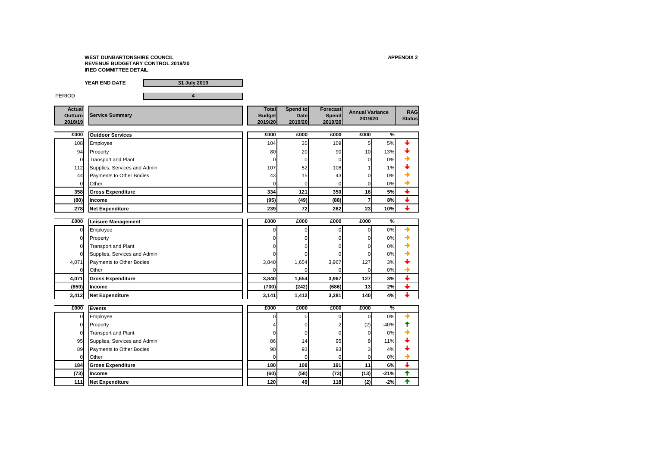

|                                            | <b>YEAR END DATE</b><br>31 July 2019     |                                          |                                    |                                            |                                   |               |                             |
|--------------------------------------------|------------------------------------------|------------------------------------------|------------------------------------|--------------------------------------------|-----------------------------------|---------------|-----------------------------|
| <b>PERIOD</b>                              | 4                                        |                                          |                                    |                                            |                                   |               |                             |
| <b>Actual</b><br><b>Outturn</b><br>2018/19 | <b>Service Summary</b>                   | <b>Total</b><br><b>Budget</b><br>2019/20 | Spend to<br><b>Date</b><br>2019/20 | <b>Forecast</b><br><b>Spend</b><br>2019/20 | <b>Annual Variance</b><br>2019/20 |               | <b>RAG</b><br><b>Status</b> |
| £000                                       | <b>Outdoor Services</b>                  | £000                                     | £000                               | £000                                       | £000                              | $\frac{0}{6}$ |                             |
| 108                                        | Employee                                 | 104                                      | 35                                 | 109                                        | 5                                 | 5%            |                             |
| 94                                         | Property                                 | 80                                       | 20                                 | 90                                         | 10                                | 13%           |                             |
| $\mathbf 0$                                | <b>Transport and Plant</b>               | $\overline{0}$                           |                                    | O                                          | 0                                 | 0%            |                             |
| 112                                        | Supplies, Services and Admin             | 107                                      | 52                                 | 108                                        |                                   | 1%            |                             |
| 44                                         | Payments to Other Bodies                 | 43                                       | 15                                 | 43                                         | 0                                 | 0%            |                             |
| $\overline{0}$                             | Other                                    | $\overline{0}$                           |                                    | 0                                          | 0                                 | 0%            |                             |
| 358                                        | <b>Gross Expenditure</b>                 | 334                                      | 121                                | 350                                        | 16                                | 5%            |                             |
| (80)                                       | Income                                   | (95)                                     | (49)                               | (88)                                       | 7                                 | 8%            |                             |
| 278                                        | <b>Net Expenditure</b>                   | 239                                      | 72                                 | 262                                        | 23                                | 10%           | $\color{red} \downarrow$    |
|                                            |                                          |                                          |                                    |                                            |                                   |               |                             |
| £000                                       | <b>Leisure Management</b>                | £000                                     | £000                               | £000                                       | £000                              | $\frac{0}{6}$ |                             |
| $\overline{0}$                             | Employee                                 | 0                                        |                                    | 0                                          | $\Omega$                          | 0%            |                             |
| $\overline{0}$                             | Property                                 | 0                                        |                                    |                                            | 0                                 | 0%            |                             |
| $\overline{0}$                             | Transport and Plant                      | $\Omega$                                 |                                    |                                            | 0                                 | 0%            |                             |
| $\mathbf 0$                                | Supplies, Services and Admin             | 0                                        |                                    |                                            | 0                                 | 0%            |                             |
| 4,071                                      | <b>Payments to Other Bodies</b>          | 3,840                                    | 1,654                              | 3,967                                      | 127                               | 3%            |                             |
| <sub>0</sub><br>4,071                      | <b>Other</b><br><b>Gross Expenditure</b> | $\overline{0}$<br>3,840                  | $\mathbf{0}$<br>1,654              | $\overline{O}$<br>3,967                    | 0 <br>127                         | $0\%$<br>3%   | $\color{red} \blacklozenge$ |
| (659)                                      | Income                                   | (700)                                    | (242)                              | (686)                                      | 13                                | 2%            | ╋                           |
|                                            | <b>Net Expenditure</b>                   | 3,141                                    | 1,412                              | 3,281                                      | 140                               | 4%            | $\ddag$                     |
| 3,412                                      |                                          |                                          |                                    |                                            |                                   |               |                             |
| £000                                       | <b>Events</b>                            | £000                                     | £000                               | £000                                       | £000                              | $\frac{0}{6}$ |                             |
| $\overline{0}$                             | Employee                                 | $\overline{0}$                           |                                    | 0                                          | 0                                 | 0%            |                             |
| $\overline{0}$                             | Property                                 |                                          |                                    |                                            | (2)                               | $-40%$        |                             |
| $\overline{0}$                             | <b>Transport and Plant</b>               | 0                                        |                                    |                                            | $\Omega$                          | 0%            |                             |
| 95                                         | Supplies, Services and Admin             | 86                                       | 14                                 | 95                                         | 9                                 | 11%           |                             |
| 89                                         | Payments to Other Bodies                 | 90                                       | 93                                 | 93                                         | 3                                 | 4%            |                             |
| $\overline{0}$                             | Other                                    | $\overline{0}$                           |                                    | $\Omega$                                   | $\mathbf{0}$                      | 0%            |                             |
| 184                                        | <b>Gross Expenditure</b>                 | 180                                      | 108                                | 191                                        | 11                                | 6%            | $\ddag$                     |
| (73)                                       | <b>Income</b>                            | (60)                                     | (58)                               | (73)                                       | (13)                              | $-21%$        | 个                           |
| 111                                        | <b>Net Expenditure</b>                   | 120                                      | 49                                 | 118                                        | (2)                               | $-2%$         | 个                           |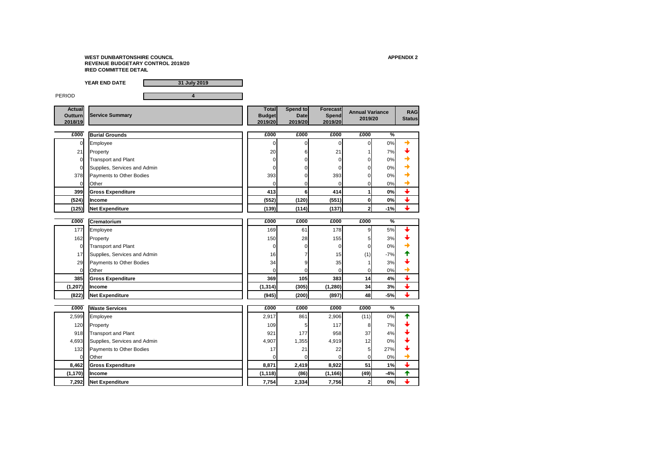

|                                            | <b>YEAR END DATE</b><br>31 July 2019 |                                          |                                    |                                            |                                   |               |                                          |
|--------------------------------------------|--------------------------------------|------------------------------------------|------------------------------------|--------------------------------------------|-----------------------------------|---------------|------------------------------------------|
| <b>PERIOD</b>                              | 4                                    |                                          |                                    |                                            |                                   |               |                                          |
| <b>Actual</b><br><b>Outturn</b><br>2018/19 | <b>Service Summary</b>               | <b>Total</b><br><b>Budget</b><br>2019/20 | Spend to<br><b>Date</b><br>2019/20 | <b>Forecast</b><br><b>Spend</b><br>2019/20 | <b>Annual Variance</b><br>2019/20 |               | <b>RAG</b><br><b>Status</b>              |
| £000                                       | <b>Burial Grounds</b>                | £000                                     | £000                               | £000                                       | £000                              | $\frac{0}{6}$ |                                          |
| 0                                          | Employee                             | $\Box$                                   |                                    | 01                                         | 0                                 | $0\%$         |                                          |
| 21                                         | Property                             | 20                                       |                                    | 21                                         |                                   | 7%            |                                          |
| $\overline{0}$                             | <b>Transport and Plant</b>           | 0                                        |                                    | 0                                          | 0                                 | 0%            |                                          |
| $\overline{0}$                             | Supplies, Services and Admin         |                                          |                                    | 01                                         |                                   | 0%            |                                          |
| 378                                        | Payments to Other Bodies             | 393                                      |                                    | 393                                        |                                   | 0%            |                                          |
| <sup>O</sup>                               | Other                                |                                          |                                    | 01                                         | 0                                 | 0%            |                                          |
| 399                                        | <b>Gross Expenditure</b>             | 413                                      | 6                                  | 414                                        | 1                                 | 0%            |                                          |
| (524)                                      | <b>Income</b>                        | (552)                                    | (120)                              | (551)                                      | 0                                 | 0%            |                                          |
| (125)                                      | <b>Net Expenditure</b>               | (139)                                    | (114)                              | (137)                                      | $\overline{2}$                    | $-1%$         | $\overline{\phantom{a}}$                 |
|                                            |                                      |                                          |                                    |                                            |                                   |               |                                          |
| £000                                       | <b>Crematorium</b>                   | £000                                     | £000                               | £000                                       | £000                              | $\frac{0}{6}$ |                                          |
| 177                                        | Employee                             | 169                                      | 61                                 | 178                                        | 9                                 | 5%            |                                          |
| 162                                        | Property                             | 150                                      | 28                                 | 155                                        | 5                                 | 3%            |                                          |
| $\overline{0}$                             | <b>Transport and Plant</b>           | 0                                        |                                    | 0I                                         | 0                                 | 0%            |                                          |
| 17                                         | Supplies, Services and Admin         | 16                                       |                                    | 15                                         | (1)                               | $-7%$         |                                          |
| 29                                         | Payments to Other Bodies             | 34                                       |                                    | 35                                         |                                   | 3%            |                                          |
| $\mathbf{0}$                               | <b>Other</b>                         | $\overline{0}$                           | $\overline{0}$                     | $\overline{0}$                             | <sup>0</sup>                      | 0%            | $\rightarrow$<br>$\overline{\mathbf{t}}$ |
| 385                                        | <b>Gross Expenditure</b>             | 369                                      | 105                                | 383                                        | 14                                | 4%            | $\downarrow$                             |
| (1, 207)                                   | Income                               | (1, 314)                                 | (305)                              | (1, 280)                                   | 34                                | 3%            | $\ddag$                                  |
| (822)                                      | <b>Net Expenditure</b>               | (945)                                    | (200)                              | (897)                                      | 48                                | $-5%$         |                                          |
| £000                                       | <b>Waste Services</b>                | £000                                     | £000                               | £000                                       | £000                              | $\frac{9}{6}$ |                                          |
| 2,599                                      | Employee                             | 2,917                                    | 861                                | 2,906                                      | (11)                              | $0\%$         | ₳                                        |
| 120                                        | Property                             | 109                                      |                                    | 117                                        | 8                                 | 7%            |                                          |
| 918                                        | <b>Transport and Plant</b>           | 921                                      | 177                                | 958                                        | 37                                | 4%            |                                          |
| 4,693                                      | Supplies, Services and Admin         | 4,907                                    | 1,355                              | 4,919                                      | 12                                | 0%            |                                          |
| 132                                        | Payments to Other Bodies             | 17                                       | 21                                 | 22                                         | 5 <sup>5</sup>                    | 27%           |                                          |
| $\overline{0}$                             | Other                                | $\overline{0}$                           | 0                                  | $\overline{0}$                             | $\overline{0}$                    | 0%            |                                          |
| 8,462                                      | <b>Gross Expenditure</b>             | 8,871                                    | 2,419                              | 8,922                                      | 51                                | 1%            | $\color{red} \downarrow$                 |
| (1, 170)                                   | Income                               | (1, 118)                                 | (86)                               | (1, 166)                                   | (49)                              | $-4%$         | 个                                        |
| 7,292                                      | <b>Net Expenditure</b>               | 7,754                                    | 2,334                              | 7,756                                      | $\boldsymbol{2}$                  | 0%            | $\ddag$                                  |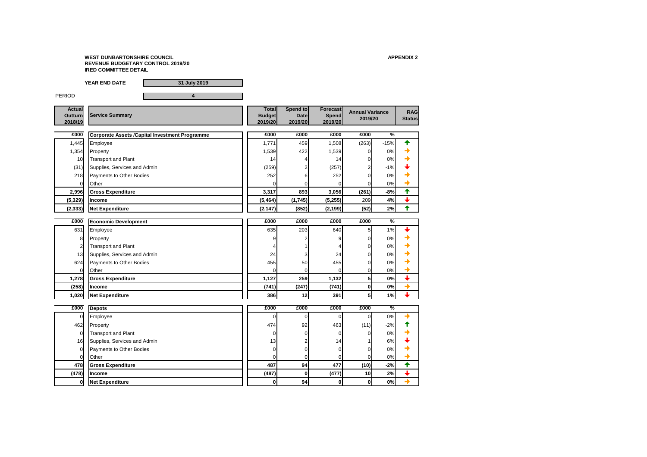

**YEAR END DATE 31 July 2019** PERIOD **4 Actual Outturn 2018/19 Total Budget 2019/20 Spend to Date 2019/20 Forecast Spend 2019/20** Service Summary<br>Service Summary **Superfield Spending Superfield Annual Variance** RAG<br>
2019/20 2019/20 2019/20 2019/20 2019/20 2019 **2019/20 £000 £000 £000 £000 £000 % Corporate Assets /Capital Investment Programme**1,445 Employee 1,771 459 1,508 (263) -15% 1,354 Property 1,539 422 1,539 0 0% <del>◆</del> 10 Transport and Plant 14 4 14 0 0%  $(31)$  Supplies, Services and Admin  $(259)$   $(259)$   $(257)$   $(257)$   $(257)$   $(257)$ 218 Payments to Other Bodies  $\begin{array}{ccc} \text{252} & \text{252} \\ \text{252} & \text{6} \end{array}$  252 0 0% + 0 Other 0 0 0 0 0% **2,996 Gross Expenditure 3,317 893 3,056 (261) -8% (5,329) Income (5,464) (1,745) (5,255)** 209 **4% (2,333) Net Expenditure (2,147) (852) (2,199) (52) 2% £000 £000 £000 £000 £000 % Economic Development** 631 Employee 635 203 640 5 1% 8 Property 9 2 9 0 0% <del>→</del> Transport and Plant  $\begin{array}{|c|c|c|c|c|c|}\n\hline\n\end{array}$  4  $\begin{array}{|c|c|c|c|}\n\hline\n\end{array}$  4  $\begin{array}{|c|c|c|c|}\n\hline\n\end{array}$  4  $\begin{array}{|c|c|c|c|}\n\hline\n\end{array}$  0  $\begin{array}{|c|c|c|}\n\hline\n\end{array}$ 13 Supplies, Services and Admin 24 3 24 0 0% 624 Payments to Other Bodies  $\begin{array}{ccc} \bullet & \bullet & \bullet \\ \bullet & \bullet & \bullet \end{array}$  455 50 455 0 455 0 0 0%  $\begin{array}{|c|c|c|c|c|c|}\hline \text{Other} & & & \text{otherwise} \end{array}$ **1,278 Gross Expenditure 1,127 259 1,132 5 0% (258) Income (741) (247) (741) 0 0% 1,020 Net Expenditure 386 12 391 5 1% £000 £000 £000 £000 £000 %** 0 Employee 0 0 0 0 0% 462 Property 11  $474$  92 463 (11)  $483$ 0 Transport and Plant 0 0 0 0 0% 16 Supplies, Services and Admin 15 2 13 13 14 15 16 16 16 17 18 17 18 18 19 18 19 18 19 18 19 19 19 1 0 Payments to Other Bodies 0 0 0 0 0% 0 Other 0 0 0 0 0% **Depots**

| £000           | Depots                       | £000            | £000 | £000  | £000     | %     |  |
|----------------|------------------------------|-----------------|------|-------|----------|-------|--|
| $\overline{0}$ | Employee                     |                 | ΟI   |       |          | 0%    |  |
| 462            | Property                     | 474             | 92   | 463   | (11)     | $-2%$ |  |
| $\overline{0}$ | <b>Transport and Plant</b>   |                 | 01   |       |          | 0%    |  |
| 16             | Supplies, Services and Admin | 13 <sub>l</sub> | C.   | 14    |          | 6%    |  |
| $\overline{0}$ | Payments to Other Bodies     |                 |      |       |          | 0%    |  |
| $\overline{0}$ | Other                        |                 |      |       |          | 0%    |  |
| 478            | <b>Gross Expenditure</b>     | 487             | 94   | 477   | (10)     | $-2%$ |  |
| (478)          | <b>Income</b>                | (487)           | OI   | (477) | 10       | 2%    |  |
| 0              | Net Expenditure              |                 | 94   | 0     | $\bf{0}$ | 0%    |  |

**0 Net Expenditure 0 94 0 0 0%**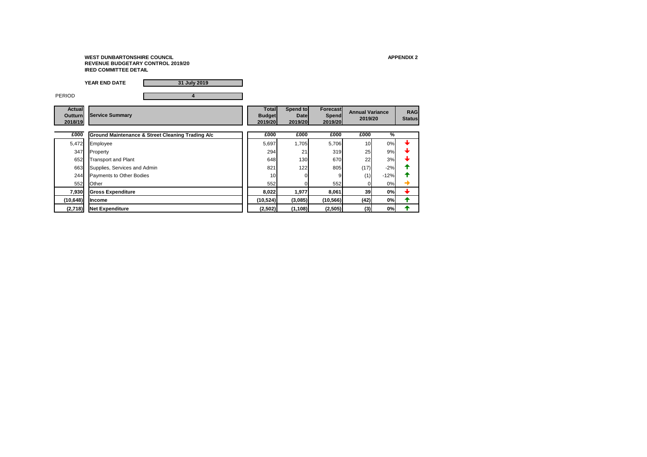|                                            | 31 July 2019<br><b>YEAR END DATE</b>                        |                                          |                                    |                                            |                                   |               |                             |
|--------------------------------------------|-------------------------------------------------------------|------------------------------------------|------------------------------------|--------------------------------------------|-----------------------------------|---------------|-----------------------------|
| <b>PERIOD</b>                              | 4                                                           |                                          |                                    |                                            |                                   |               |                             |
| <b>Actual</b><br><b>Outturn</b><br>2018/19 | <b>Service Summary</b>                                      | <b>Total</b><br><b>Budget</b><br>2019/20 | Spend to<br><b>Date</b><br>2019/20 | <b>Forecast</b><br><b>Spend</b><br>2019/20 | <b>Annual Variance</b><br>2019/20 |               | <b>RAG</b><br><b>Status</b> |
| £000                                       | <b>Ground Maintenance &amp; Street Cleaning Trading A/c</b> | £000                                     | £000                               | £000                                       | £000                              | $\frac{9}{6}$ |                             |
| 5,472                                      | Employee                                                    | 5,697                                    | 1,705                              | 5,706                                      | 10                                | 0%            |                             |
| 347                                        | Property                                                    | 294                                      | 21                                 | 319                                        | 25                                | 9%            |                             |
| 652                                        | <b>Transport and Plant</b>                                  | 648                                      | 130                                | 670                                        | 22                                | 3%            |                             |
| 663                                        | Supplies, Services and Admin                                | 821                                      | 122                                | 805                                        | (17)                              | $-2%$         |                             |
| 244                                        | Payments to Other Bodies                                    | 10 <sup>1</sup>                          |                                    |                                            | (1)                               | $-12%$        |                             |
| 552                                        | <b>Other</b>                                                | 552                                      |                                    | 552                                        | 01                                | 0%            | →                           |
| 7,930                                      | <b>Gross Expenditure</b>                                    | 8,022                                    | 1,977                              | 8,061                                      | 39                                | 0%            |                             |
| (10, 648)                                  | <b>Income</b>                                               | (10, 524)                                | (3,085)                            | (10, 566)                                  | (42)                              | 0%            | ᡨ                           |
| (2,718)                                    | <b>Net Expenditure</b>                                      | (2,502)                                  | (1, 108)                           | (2,505)                                    | (3)                               | 0%            |                             |